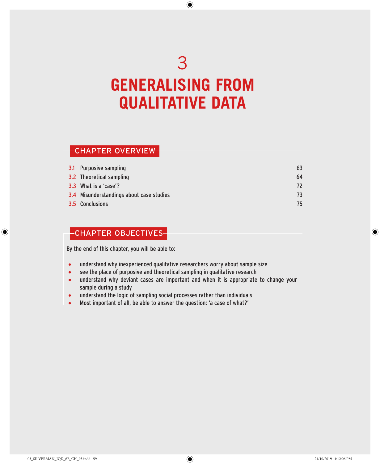# 3 **GENERALISING FROM QUALITATIVE DATA**

## CHAPTER OVERVIEW

| 3.1 Purposive sampling                   | 63 |
|------------------------------------------|----|
| 3.2 Theoretical sampling                 | 64 |
| 3.3 What is a 'case'?                    | 72 |
| 3.4 Misunderstandings about case studies | 73 |
| 3.5 Conclusions                          | 75 |

## CHAPTER OBJECTIVES

By the end of this chapter, you will be able to:

- understand why inexperienced qualitative researchers worry about sample size
- see the place of purposive and theoretical sampling in qualitative research
- understand why deviant cases are important and when it is appropriate to change your sample during a study
- understand the logic of sampling social processes rather than individuals
- Most important of all, be able to answer the question: 'a case of what?'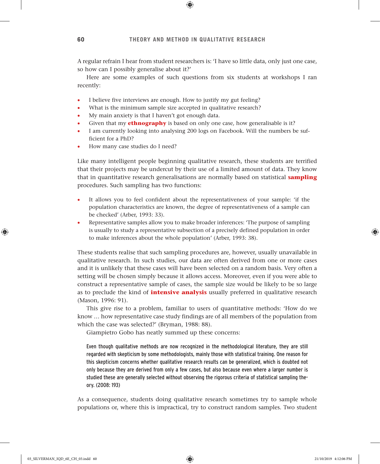A regular refrain I hear from student researchers is: 'I have so little data, only just one case, so how can I possibly generalise about it?'

Here are some examples of such questions from six students at workshops I ran recently:

- I believe five interviews are enough. How to justify my gut feeling?
- What is the minimum sample size accepted in qualitative research?
- My main anxiety is that I haven't got enough data.
- Given that my **ethnography** is based on only one case, how generalisable is it?
- I am currently looking into analysing 200 logs on Facebook. Will the numbers be sufficient for a PhD?
- How many case studies do I need?

Like many intelligent people beginning qualitative research, these students are terrified that their projects may be undercut by their use of a limited amount of data. They know that in quantitative research generalisations are normally based on statistical **sampling** procedures. Such sampling has two functions:

- It allows you to feel confident about the representativeness of your sample: 'if the population characteristics are known, the degree of representativeness of a sample can be checked' (Arber, 1993: 33).
- Representative samples allow you to make broader inferences: 'The purpose of sampling is usually to study a representative subsection of a precisely defined population in order to make inferences about the whole population' (Arber, 1993: 38).

These students realise that such sampling procedures are, however, usually unavailable in qualitative research. In such studies, our data are often derived from one or more cases and it is unlikely that these cases will have been selected on a random basis. Very often a setting will be chosen simply because it allows access. Moreover, even if you were able to construct a representative sample of cases, the sample size would be likely to be so large as to preclude the kind of **intensive analysis** usually preferred in qualitative research (Mason, 1996: 91).

This give rise to a problem, familiar to users of quantitative methods: 'How do we know … how representative case study findings are of all members of the population from which the case was selected?' (Bryman, 1988: 88).

Giampietro Gobo has neatly summed up these concerns:

Even though qualitative methods are now recognized in the methodological literature, they are still regarded with skepticism by some methodologists, mainly those with statistical training. One reason for this skepticism concerns whether qualitative research results can be generalized, which is doubted not only because they are derived from only a few cases, but also because even where a larger number is studied these are generally selected without observing the rigorous criteria of statistical sampling theory. (2008: 193)

As a consequence, students doing qualitative research sometimes try to sample whole populations or, where this is impractical, try to construct random samples. Two student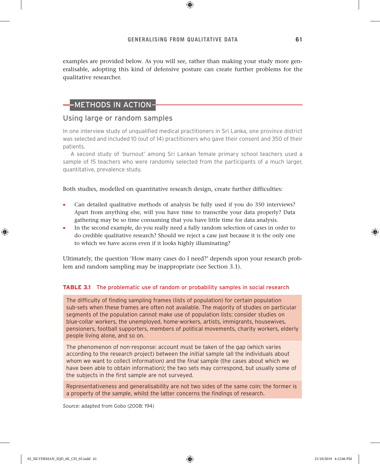examples are provided below. As you will see, rather than making your study more generalisable, adopting this kind of defensive posture can create further problems for the qualitative researcher.

### -METHODS IN ACTION-

#### Using large or random samples

In one interview study of unqualified medical practitioners in Sri Lanka, one province district was selected and included 10 (out of 14) practitioners who gave their consent and 350 of their patients.

A second study of 'burnout' among Sri Lankan female primary school teachers used a sample of 15 teachers who were randomly selected from the participants of a much larger, quantitative, prevalence study.

#### Both studies, modelled on quantitative research design, create further difficulties:

- Can detailed qualitative methods of analysis be fully used if you do 350 interviews? Apart from anything else, will you have time to transcribe your data properly? Data gathering may be so time consuming that you have little time for data analysis.
- In the second example, do you really need a fully random selection of cases in order to do credible qualitative research? Should we reject a case just because it is the only one to which we have access even if it looks highly illuminating?

Ultimately, the question 'How many cases do I need?' depends upon your research problem and random sampling may be inappropriate (see Section 3.1).

#### **TABLE 3.1** The problematic use of random or probability samples in social research

The difficulty of finding sampling frames (lists of population) for certain population sub-sets when these frames are often not available. The majority of studies on particular segments of the population cannot make use of population lists: consider studies on blue-collar workers, the unemployed, home-workers, artists, immigrants, housewives, pensioners, football supporters, members of political movements, charity workers, elderly people living alone, and so on.

The phenomenon of non-response: account must be taken of the gap (which varies according to the research project) between the *initial* sample (all the individuals about whom we want to collect information) and the *final* sample (the cases about which we have been able to obtain information); the two sets may correspond, but usually some of the subjects in the first sample are not surveyed.

Representativeness and generalisability are not two sides of the same coin*:* the former is a property of the *sample*, whilst the latter concerns the *findings* of research.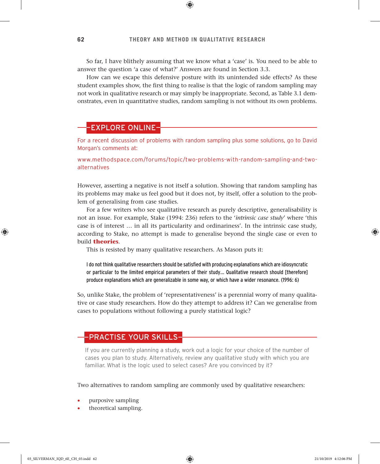So far, I have blithely assuming that we know what a 'case' is. You need to be able to answer the question 'a case of what?' Answers are found in Section 3.3.

How can we escape this defensive posture with its unintended side effects? As these student examples show, the first thing to realise is that the logic of random sampling may not work in qualitative research or may simply be inappropriate. Second, as Table 3.1 demonstrates, even in quantitative studies, random sampling is not without its own problems.

### EXPLORE ONLINE

For a recent discussion of problems with random sampling plus some solutions, go to David Morgan's comments at:

www.methodspace.com/forums/topic/two-problems-with-random-sampling-and-twoalternatives

However, asserting a negative is not itself a solution. Showing that random sampling has its problems may make us feel good but it does not, by itself, offer a solution to the problem of generalising from case studies.

For a few writers who see qualitative research as purely descriptive, generalisability is not an issue. For example, Stake (1994: 236) refers to the '*intrinsic case study*' where 'this case is of interest … in all its particularity and ordinariness'. In the intrinsic case study, according to Stake, no attempt is made to generalise beyond the single case or even to build **theories**.

This is resisted by many qualitative researchers. As Mason puts it:

I do not think qualitative researchers should be satisfied with producing explanations which are idiosyncratic or particular to the limited empirical parameters of their study… Qualitative research should [therefore] produce explanations which are generalizable in some way, or which have a wider resonance. (1996: 6)

So, unlike Stake, the problem of 'representativeness' is a perennial worry of many qualitative or case study researchers. How do they attempt to address it? Can we generalise from cases to populations without following a purely statistical logic?

#### PRACTISE YOUR SKILLS

If you are currently planning a study, work out a logic for your choice of the number of cases you plan to study. Alternatively, review any qualitative study with which you are familiar. What is the logic used to select cases? Are you convinced by it?

Two alternatives to random sampling are commonly used by qualitative researchers:

- purposive sampling
- theoretical sampling.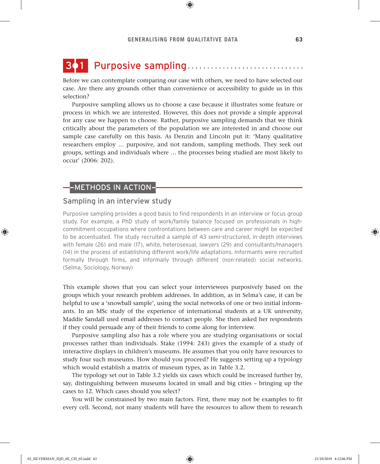## 3 1 Purposive sampling

Before we can contemplate comparing our case with others, we need to have selected our case. Are there any grounds other than convenience or accessibility to guide us in this selection?

Purposive sampling allows us to choose a case because it illustrates some feature or process in which we are interested. However, this does not provide a simple approval for any case we happen to choose. Rather, purposive sampling demands that we think critically about the parameters of the population we are interested in and choose our sample case carefully on this basis. As Denzin and Lincoln put it: 'Many qualitative researchers employ … purposive, and not random, sampling methods. They seek out groups, settings and individuals where … the processes being studied are most likely to occur' (2006: 202).

## -METHODS IN ACTION-

#### Sampling in an interview study

Purposive sampling provides a good basis to find respondents in an interview or focus group study. For example, a PhD study of work/family balance focused on professionals in highcommitment occupations where confrontations between care and career might be expected to be accentuated. The study recruited a sample of 43 semi-structured, in-depth interviews with female (26) and male (17), white, heterosexual, lawyers (29) and consultants/managers (14) in the process of establishing different work/life adaptations. Informants were recruited formally through firms, and informally through different (non-related) social networks. (Selma, Sociology, Norway)

This example shows that you can select your interviewees purposively based on the groups which your research problem addresses. In addition, as in Selma's case, it can be helpful to use a 'snowball sample', using the social networks of one or two initial informants. In an MSc study of the experience of international students at a UK university, Maddie Sandall used email addresses to contact people. She then asked her respondents if they could persuade any of their friends to come along for interview.

Purposive sampling also has a role where you are studying organisations or social processes rather than individuals. Stake (1994: 243) gives the example of a study of interactive displays in children's museums. He assumes that you only have resources to study four such museums. How should you proceed? He suggests setting up a typology which would establish a matrix of museum types, as in Table 3.2.

The typology set out in Table 3.2 yields six cases which could be increased further by, say, distinguishing between museums located in small and big cities – bringing up the cases to 12. Which cases should you select?

You will be constrained by two main factors. First, there may not be examples to fit every cell. Second, not many students will have the resources to allow them to research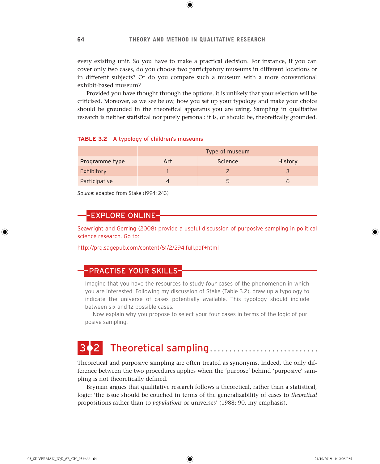every existing unit. So you have to make a practical decision. For instance, if you can cover only two cases, do you choose two participatory museums in different locations or in different subjects? Or do you compare such a museum with a more conventional exhibit-based museum?

Provided you have thought through the options, it is unlikely that your selection will be criticised. Moreover, as we see below, how you set up your typology and make your choice should be grounded in the theoretical apparatus you are using. Sampling in qualitative research is neither statistical nor purely personal: it is, or should be, theoretically grounded.

#### **TABLE 3.2** A typology of children's museums

|                | Type of museum |                |         |  |
|----------------|----------------|----------------|---------|--|
| Programme type | Art            | <b>Science</b> | History |  |
| Exhibitory     |                |                |         |  |
| Participative  |                | $\sqrt{2}$     |         |  |

*Source*: adapted from Stake (1994: 243)

### EXPLORE ONLINE

Seawright and Gerring (2008) provide a useful discussion of purposive sampling in political science research. Go to:

http://prq.sagepub.com/content/61/2/294.full.pdf+html

#### PRACTISE YOUR SKILLS

Imagine that you have the resources to study *four* cases of the phenomenon in which you are interested. Following my discussion of Stake (Table 3.2), draw up a typology to indicate the universe of cases potentially available. This typology should include between six and 12 possible cases.

Now explain why you propose to select your four cases in terms of the logic of purposive sampling.

## Theoretical sampling...............................

Theoretical and purposive sampling are often treated as synonyms. Indeed, the only difference between the two procedures applies when the 'purpose' behind 'purposive' sampling is not theoretically defined.

Bryman argues that qualitative research follows a theoretical, rather than a statistical, logic: 'the issue should be couched in terms of the generalizability of cases to *theoretical* propositions rather than to *populations* or universes' (1988: 90, my emphasis).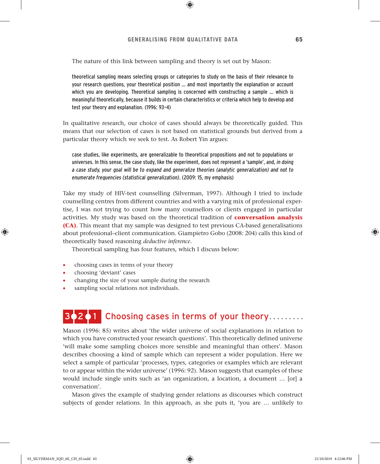The nature of this link between sampling and theory is set out by Mason:

theoretical sampling means selecting groups or categories to study on the basis of their relevance to your research questions, your theoretical position … and most importantly the explanation or account which you are developing. Theoretical sampling is concerned with constructing a sample … which is meaningful theoretically, because it builds in certain characteristics or criteria which help to develop and test your theory and explanation. (1996: 93–4)

In qualitative research, our choice of cases should always be theoretically guided. This means that our selection of cases is not based on statistical grounds but derived from a particular theory which we seek to test. As Robert Yin argues:

case studies, like experiments, are generalizable to theoretical propositions and not to populations or universes. In this sense, the case study, like the experiment, does not represent a 'sample', and, *in doing a case study, your goal will be to expand and generalize theories (analytic generalization) and not to enumerate frequencies (statistical generalization)*. (2009: 15, my emphasis)

Take my study of HIV-test counselling (Silverman, 1997). Although I tried to include counselling centres from different countries and with a varying mix of professional expertise, I was not trying to count how many counsellors or clients engaged in particular activities. My study was based on the theoretical tradition of **conversation analysis (CA)**. This meant that my sample was designed to test previous CA-based generalisations about professional–client communication. Giampietro Gobo (2008: 204) calls this kind of theoretically based reasoning *deductive inference*.

Theoretical sampling has four features, which I discuss below:

- choosing cases in terms of your theory
- choosing 'deviant' cases
- changing the size of your sample during the research
- sampling social relations not individuals.

## 30201 Choosing cases in terms of your theory.........

Mason (1996: 85) writes about 'the wider universe of social explanations in relation to which you have constructed your research questions'. This theoretically defined universe 'will make some sampling choices more sensible and meaningful than others'. Mason describes choosing a kind of sample which can represent a wider population. Here we select a sample of particular 'processes, types, categories or examples which are relevant to or appear within the wider universe' (1996: 92). Mason suggests that examples of these would include single units such as 'an organization, a location, a document … [or] a conversation'.

Mason gives the example of studying gender relations as discourses which construct subjects of gender relations. In this approach, as she puts it, 'you are … unlikely to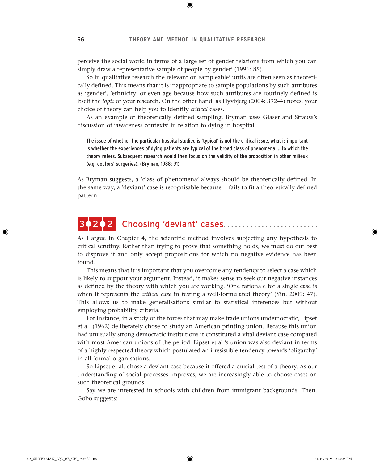perceive the social world in terms of a large set of gender relations from which you can simply draw a representative sample of people by gender' (1996: 85).

So in qualitative research the relevant or 'sampleable' units are often seen as theoretically defined. This means that it is inappropriate to sample populations by such attributes as 'gender', 'ethnicity' or even age because how such attributes are routinely defined is itself the *topic* of your research. On the other hand, as Flyvbjerg (2004: 392–4) notes, your choice of theory can help you to identify *critical* cases.

As an example of theoretically defined sampling, Bryman uses Glaser and Strauss's discussion of 'awareness contexts' in relation to dying in hospital:

The issue of whether the particular hospital studied is 'typical' is not the critical issue; what is important is whether the experiences of dying patients are typical of the broad class of phenomena … to which the theory refers. Subsequent research would then focus on the validity of the proposition in other milieux (e.g. doctors' surgeries). (Bryman, 1988: 91)

As Bryman suggests, a 'class of phenomena' always should be theoretically defined. In the same way, a 'deviant' case is recognisable because it fails to fit a theoretically defined pattern.

## 3 2 2 Choosing 'deviant' cases

As I argue in Chapter 4, the scientific method involves subjecting any hypothesis to critical scrutiny. Rather than trying to prove that something holds, we must do our best to disprove it and only accept propositions for which no negative evidence has been found.

This means that it is important that you overcome any tendency to select a case which is likely to support your argument. Instead, it makes sense to seek out negative instances as defined by the theory with which you are working. 'One rationale for a single case is when it represents the *critical case* in testing a well-formulated theory' (Yin, 2009: 47). This allows us to make generalisations similar to statistical inferences but without employing probability criteria.

For instance, in a study of the forces that may make trade unions undemocratic, Lipset et al. (1962) deliberately chose to study an American printing union. Because this union had unusually strong democratic institutions it constituted a vital deviant case compared with most American unions of the period. Lipset et al.'s union was also deviant in terms of a highly respected theory which postulated an irresistible tendency towards 'oligarchy' in all formal organisations.

So Lipset et al. chose a deviant case because it offered a crucial test of a theory. As our understanding of social processes improves, we are increasingly able to choose cases on such theoretical grounds.

Say we are interested in schools with children from immigrant backgrounds. Then, Gobo suggests: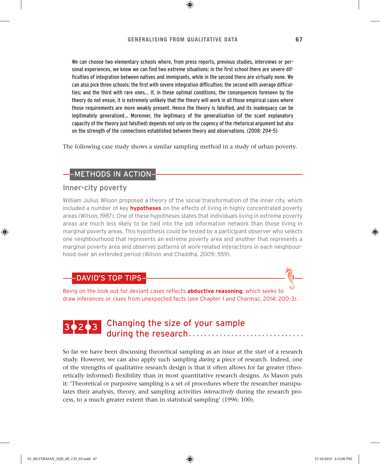We can choose two elementary schools where, from press reports, previous studies, interviews or personal experiences, we know we can find two extreme situations: in the first school there are severe difficulties of integration between natives and immigrants, while in the second there are virtually none. We can also pick three schools: the first with severe integration difficulties; the second with average difficulties; and the third with rare ones… If, in these optimal conditions, the consequences foreseen by the theory do not ensue, it is extremely unlikely that the theory will work in all those empirical cases where those requirements are more weakly present. Hence the theory is falsified, and its inadequacy can be legitimately generalized… Moreover, the legitimacy of the generalization (of the scant explanatory capacity of the theory just falsified) depends not only on the cogency of the rhetorical argument but also on the strength of the connections established between theory and observations. (2008: 204–5)

The following case study shows a similar sampling method in a study of urban poverty.

## -METHODS IN ACTION

#### Inner-city poverty

William Julius Wilson proposed a theory of the social transformation of the inner city, which included a number of key **hypotheses** on the effects of living in highly concentrated poverty areas (Wilson, 1987). One of these hypotheses states that individuals living in extreme poverty areas are much less likely to be tied into the job information network than those living in marginal poverty areas. This hypothesis could be tested by a participant observer who selects one neighbourhood that represents an extreme poverty area and another that represents a marginal poverty area and observes patterns of work-related interactions in each neighbourhood over an extended period (Wilson and Chaddha, 2009: 559).

### DAVID'S TOP TIPS

Being on the look out for deviant cases reflects **abductive reasoning**, which seeks to draw inferences or clues from unexpected facts (see Chapter 1 and Charmaz, 2014: 200–3).

## 3 2 2 3 Changing the size of your sample during the research

So far we have been discussing theoretical sampling as an issue at the *start* of a research study. However, we can also apply such sampling *during* a piece of research. Indeed, one of the strengths of qualitative research design is that it often allows for far greater (theoretically informed) flexibility than in most quantitative research designs. As Mason puts it: 'Theoretical or purposive sampling is a set of procedures where the researcher manipulates their analysis, theory, and sampling activities *interactively* during the research process, to a much greater extent than in statistical sampling' (1996: 100).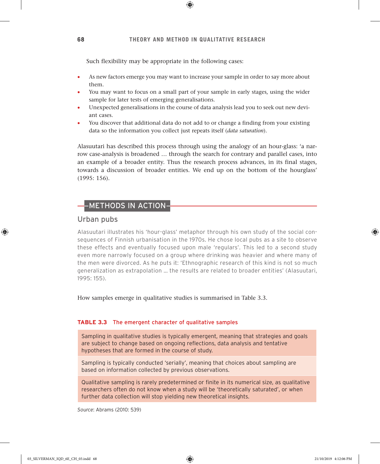Such flexibility may be appropriate in the following cases:

- As new factors emerge you may want to increase your sample in order to say more about them.
- You may want to focus on a small part of your sample in early stages, using the wider sample for later tests of emerging generalisations.
- Unexpected generalisations in the course of data analysis lead you to seek out new deviant cases.
- You discover that additional data do not add to or change a finding from your existing data so the information you collect just repeats itself (*data saturation*).

Alasuutari has described this process through using the analogy of an hour-glass: 'a narrow case-analysis is broadened … through the search for contrary and parallel cases, into an example of a broader entity. Thus the research process advances, in its final stages, towards a discussion of broader entities. We end up on the bottom of the hourglass' (1995: 156).

### -METHODS IN ACTION-

#### Urban pubs

Alasuutari illustrates his 'hour-glass' metaphor through his own study of the social consequences of Finnish urbanisation in the 1970s. He chose local pubs as a site to observe these effects and eventually focused upon male 'regulars'. This led to a second study even more narrowly focused on a group where drinking was heavier and where many of the men were divorced. As he puts it: 'Ethnographic research of this kind is not so much generalization as extrapolation … the results are related to broader entities' (Alasuutari, 1995: 155).

How samples emerge in qualitative studies is summarised in Table 3.3.

#### **TABLE 3.3** The emergent character of qualitative samples

Sampling in qualitative studies is typically emergent, meaning that strategies and goals are subject to change based on ongoing reflections, data analysis and tentative hypotheses that are formed in the course of study.

Sampling is typically conducted 'serially', meaning that choices about sampling are based on information collected by previous observations.

Qualitative sampling is rarely predetermined or finite in its numerical size, as qualitative researchers often do not know when a study will be 'theoretically saturated', or when further data collection will stop yielding new theoretical insights.

*Source*: Abrams (2010: 539)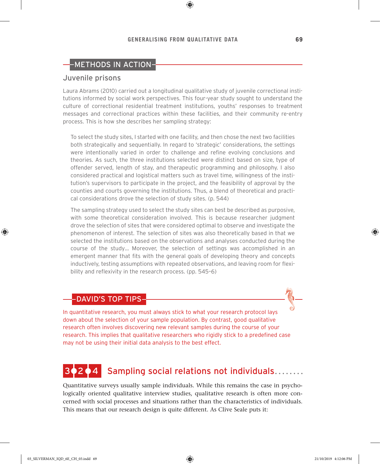### $-METHODS$  IN ACTION

#### Juvenile prisons

Laura Abrams (2010) carried out a longitudinal qualitative study of juvenile correctional institutions informed by social work perspectives. This four-year study sought to understand the culture of correctional residential treatment institutions, youths' responses to treatment messages and correctional practices within these facilities, and their community re-entry process. This is how she describes her sampling strategy:

To select the study sites, I started with one facility, and then chose the next two facilities both strategically and sequentially. In regard to 'strategic' considerations, the settings were intentionally varied in order to challenge and refine evolving conclusions and theories. As such, the three institutions selected were distinct based on size, type of offender served, length of stay, and therapeutic programming and philosophy. I also considered practical and logistical matters such as travel time, willingness of the institution's supervisors to participate in the project, and the feasibility of approval by the counties and courts governing the institutions. Thus, a blend of theoretical and practical considerations drove the selection of study sites. (p. 544)

The sampling strategy used to select the study sites can best be described as purposive, with some theoretical consideration involved. This is because researcher judgment drove the selection of sites that were considered optimal to observe and investigate the phenomenon of interest. The selection of sites was also theoretically based in that we selected the institutions based on the observations and analyses conducted during the course of the study… Moreover, the selection of settings was accomplished in an emergent manner that fits with the general goals of developing theory and concepts inductively, testing assumptions with repeated observations, and leaving room for flexibility and reflexivity in the research process. (pp. 545–6)

#### DAVID'S TOP TIPS

In quantitative research, you must always stick to what your research protocol lays down about the selection of your sample population. By contrast, good qualitative research often involves discovering new relevant samples during the course of your research. This implies that qualitative researchers who rigidly stick to a predefined case may not be using their initial data analysis to the best effect.

## $3204$  Sampling social relations not individuals........

Quantitative surveys usually sample individuals. While this remains the case in psychologically oriented qualitative interview studies, qualitative research is often more concerned with social processes and situations rather than the characteristics of individuals. This means that our research design is quite different. As Clive Seale puts it: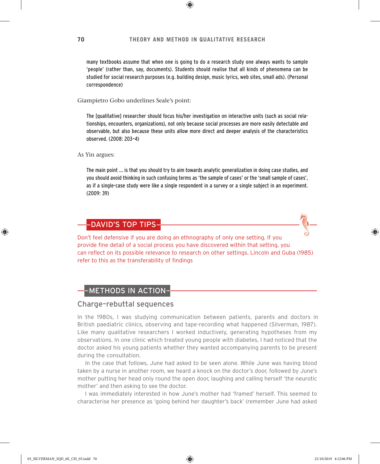many textbooks assume that when one is going to do a research study one always wants to sample 'people' (rather than, say, documents). Students should realise that all kinds of phenomena can be studied for social research purposes (e.g. building design, music lyrics, web sites, small ads). (Personal correspondence)

Giampietro Gobo underlines Seale's point:

The [qualitative] researcher should focus his/her investigation on interactive units (such as social relationships, encounters, organizations), not only because social processes are more easily detectable and observable, but also because these units allow more direct and deeper analysis of the characteristics observed. (2008: 203–4)

As Yin argues:

The main point … is that you should try to aim towards analytic generalization in doing case studies, and you should avoid thinking in such confusing terms as 'the sample of cases' or the 'small sample of cases', as if a single-case study were like a single respondent in a survey or a single subject in an experiment. (2009: 39)

#### DAVID'S TOP TIPS

Don't feel defensive if you are doing an ethnography of only one setting. If you provide fine detail of a social process you have discovered within that setting, you can reflect on its possible relevance to research on other settings. Lincoln and Guba (1985) refer to this as the transferability of findings

### METHODS IN ACTION

#### Charge–rebuttal sequences

In the 1980s, I was studying communication between patients, parents and doctors in British paediatric clinics, observing and tape-recording what happened (Silverman, 1987). Like many qualitative researchers I worked inductively, generating hypotheses from my observations. In one clinic which treated young people with diabetes, I had noticed that the doctor asked his young patients whether they wanted accompanying parents to be present during the consultation.

In the case that follows, June had asked to be seen alone. While June was having blood taken by a nurse in another room, we heard a knock on the doctor's door, followed by June's mother putting her head only round the open door, laughing and calling herself 'the neurotic mother' and then asking to see the doctor.

I was immediately interested in how June's mother had 'framed' herself. This seemed to characterise her presence as 'going behind her daughter's back' (remember June had asked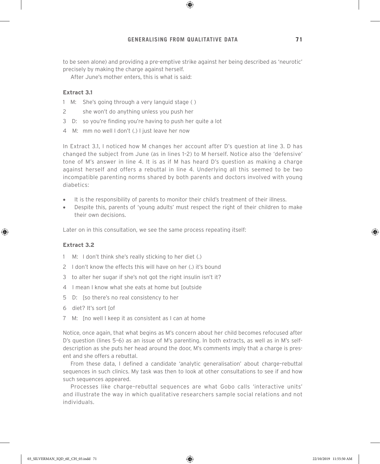to be seen alone) and providing a pre-emptive strike against her being described as 'neurotic' precisely by making the charge against herself.

After June's mother enters, this is what is said:

#### **Extract 3.1**

- 1 M: She's going through a very languid stage ( )
- 2 she won't do anything unless you push her
- 3 D: so you're finding you're having to push her quite a lot
- 4 M: mm no well I don't (.) I just leave her now

In Extract 3.1, I noticed how M changes her account after D's question at line 3. D has changed the subject from June (as in lines 1–2) to M herself. Notice also the 'defensive' tone of M's answer in line 4. It is as if M has heard D's question as making a charge against herself and offers a rebuttal in line 4. Underlying all this seemed to be two incompatible parenting norms shared by both parents and doctors involved with young diabetics:

- It is the responsibility of parents to monitor their child's treatment of their illness.
- Despite this, parents of 'young adults' must respect the right of their children to make their own decisions.

Later on in this consultation, we see the same process repeating itself:

#### **Extract 3.2**

- 1 M: I don't think she's really sticking to her diet (.)
- 2 I don't know the effects this will have on her (.) it's bound
- 3 to alter her sugar if she's not got the right insulin isn't it?
- 4 I mean I know what she eats at home but [outside
- 5 D: [so there's no real consistency to her
- 6 diet? It's sort [of
- 7 M: [no well I keep it as consistent as I can at home

Notice, once again, that what begins as M's concern about her child becomes refocused after D's question (lines 5–6) as an issue of M's parenting. In both extracts, as well as in M's selfdescription as she puts her head around the door, M's comments imply that a charge is present and she offers a rebuttal.

From these data, I defined a candidate 'analytic generalisation' about charge–rebuttal sequences in such clinics. My task was then to look at other consultations to see if and how such sequences appeared.

Processes like charge–rebuttal sequences are what Gobo calls 'interactive units' and illustrate the way in which qualitative researchers sample social relations and not individuals.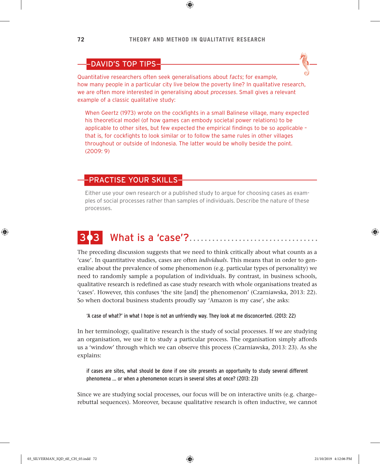#### DAVID'S TOP TIPS

Quantitative researchers often seek generalisations about *facts*; for example, how many people in a particular city live below the poverty line? In qualitative research, we are often more interested in generalising about *processes*. Small gives a relevant example of a classic qualitative study:

When Geertz (1973) wrote on the cockfights in a small Balinese village, many expected his theoretical model (of how games can embody societal power relations) to be applicable to other sites, but few expected the empirical findings to be so applicable – that is, for cockfights to look similar or to follow the same rules in other villages throughout or outside of Indonesia. The latter would be wholly beside the point. (2009: 9)

## PRACTISE YOUR SKILLS

Either use your own research or a published study to argue for choosing cases as examples of social processes rather than samples of individuals. Describe the nature of these processes.

## 3 3 What is a 'case'?

The preceding discussion suggests that we need to think critically about what counts as a 'case'. In quantitative studies, cases are often *individuals*. This means that in order to generalise about the prevalence of some phenomenon (e.g. particular types of personality) we need to randomly sample a population of individuals. By contrast, in business schools, qualitative research is redefined as case study research with whole organisations treated as 'cases'. However, this confuses 'the site [and] the phenomenon' (Czarniawska, 2013: 22). So when doctoral business students proudly say 'Amazon is my case', she asks:

'A case of what?' in what I hope is not an unfriendly way. They look at me disconcerted. (2013: 22)

In her terminology, qualitative research is the study of social processes. If we are studying an organisation, we use it to study a particular process. The organisation simply affords us a 'window' through which we can observe this process (Czarniawska, 2013: 23). As she explains:

if cases are sites, what should be done if one site presents an opportunity to study several different phenomena … or when a phenomenon occurs in several sites at once? (2013: 23)

Since we are studying social processes, our focus will be on interactive units (e.g. charge– rebuttal sequences). Moreover, because qualitative research is often inductive, we cannot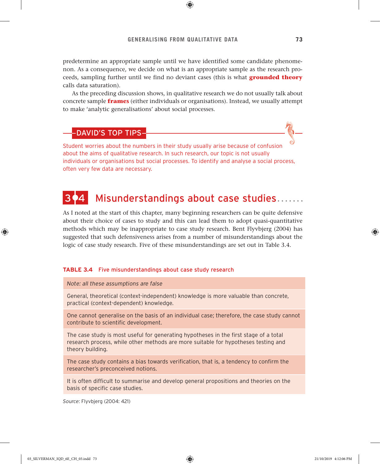predetermine an appropriate sample until we have identified some candidate phenomenon. As a consequence, we decide on what is an appropriate sample as the research proceeds, sampling further until we find no deviant cases (this is what **grounded theory** calls data saturation).

As the preceding discussion shows, in qualitative research we do not usually talk about concrete sample **frames** (either individuals or organisations). Instead, we usually attempt to make 'analytic generalisations' about social processes.

### DAVID'S TOP TIPS

Student worries about the numbers in their study usually arise because of confusion about the aims of qualitative research. In such research, our topic is not usually individuals or organisations but social processes. To identify and analyse a social process, often very few data are necessary.

## **Misunderstandings about case studies.......**

As I noted at the start of this chapter, many beginning researchers can be quite defensive about their choice of cases to study and this can lead them to adopt quasi-quantitative methods which may be inappropriate to case study research. Bent Flyvbjerg (2004) has suggested that such defensiveness arises from a number of misunderstandings about the logic of case study research. Five of these misunderstandings are set out in Table 3.4.

#### **TABLE 3.4** Five misunderstandings about case study research

*Note: all these assumptions are false*

General, theoretical (context-independent) knowledge is more valuable than concrete, practical (context-dependent) knowledge.

One cannot generalise on the basis of an individual case; therefore, the case study cannot contribute to scientific development.

The case study is most useful for generating hypotheses in the first stage of a total research process, while other methods are more suitable for hypotheses testing and theory building.

The case study contains a bias towards verification, that is, a tendency to confirm the researcher's preconceived notions.

It is often difficult to summarise and develop general propositions and theories on the basis of specific case studies.

*Source*: Flyvbjerg (2004: 421)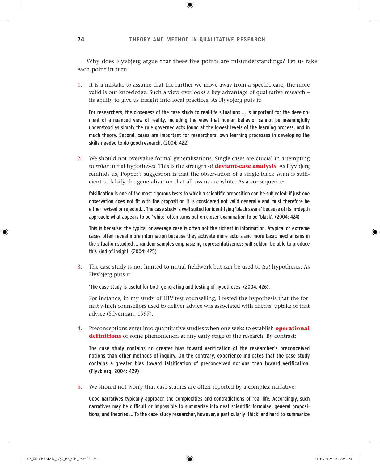Why does Flyvbjerg argue that these five points are misunderstandings? Let us take each point in turn:

1. It is a mistake to assume that the further we move away from a specific case, the more valid is our knowledge. Such a view overlooks a key advantage of qualitative research – its ability to give us insight into local practices. As Flyvbjerg puts it:

For researchers, the closeness of the case study to real-life situations … is important for the development of a nuanced view of reality, including the view that human behavior cannot be meaningfully understood as simply the rule-governed acts found at the lowest levels of the learning process, and in much theory. Second, cases are important for researchers' own learning processes in developing the skills needed to do good research. (2004: 422)

2. We should not overvalue formal generalisations. Single cases are crucial in attempting to *refute* initial hypotheses. This is the strength of **deviant-case analysis**. As Flyvbjerg reminds us, Popper's suggestion is that the observation of a single black swan is sufficient to falsify the generalisation that all swans are white. As a consequence:

falsification is one of the most rigorous tests to which a scientific proposition can be subjected: if just one observation does not fit with the proposition it is considered not valid generally and must therefore be either revised or rejected… The case study is well suited for identifying 'black swans' because of its in-depth approach: what appears to be 'white' often turns out on closer examination to be 'black'. (2004: 424)

This is because: the typical or average case is often not the richest in information. Atypical or extreme cases often reveal more information because they activate more actors and more basic mechanisms in the situation studied … random samples emphasizing representativeness will seldom be able to produce this kind of insight. (2004: 425)

3. The case study is not limited to initial fieldwork but can be used to *test* hypotheses. As Flyvbjerg puts it:

'The case study is useful for both generating and testing of hypotheses' (2004: 426).

For instance, in my study of HIV-test counselling, I tested the hypothesis that the format which counsellors used to deliver advice was associated with clients' uptake of that advice (Silverman, 1997).

4. Preconceptions enter into quantitative studies when one seeks to establish **operational definitions** of some phenomenon at any early stage of the research. By contrast:

The case study contains no greater bias toward verification of the researcher's preconceived notions than other methods of inquiry. On the contrary, experience indicates that the case study contains a greater bias toward falsification of preconceived notions than toward verification. (Flyvbjerg, 2004: 429)

5. We should not worry that case studies are often reported by a complex narrative:

Good narratives typically approach the complexities and contradictions of real life. Accordingly, such narratives may be difficult or impossible to summarize into neat scientific formulae, general propositions, and theories … To the case-study researcher, however, a particularly 'thick' and hard-to-summarize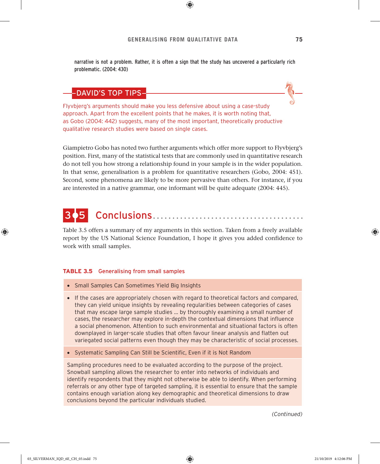narrative is not a problem. Rather, it is often a sign that the study has uncovered a particularly rich problematic. (2004: 430)

## DAVID'S TOP TIPS

Flyvbjerg's arguments should make you less defensive about using a case-study approach. Apart from the excellent points that he makes, it is worth noting that, as Gobo (2004: 442) suggests, many of the most important, theoretically productive qualitative research studies were based on single cases.

Giampietro Gobo has noted two further arguments which offer more support to Flyvbjerg's position. First, many of the statistical tests that are commonly used in quantitative research do not tell you how strong a relationship found in your sample is in the wider population. In that sense, generalisation is a problem for quantitative researchers (Gobo, 2004: 451). Second, some phenomena are likely to be more pervasive than others. For instance, if you are interested in a native grammar, one informant will be quite adequate (2004: 445).

# 3 5 Conclusions

Table 3.5 offers a summary of my arguments in this section. Taken from a freely available report by the US National Science Foundation, I hope it gives you added confidence to work with small samples.

#### **TABLE 3.5** Generalising from small samples

- Small Samples Can Sometimes Yield Big Insights
- If the cases are appropriately chosen with regard to theoretical factors and compared, they can yield unique insights by revealing regularities between categories of cases that may escape large sample studies … by thoroughly examining a small number of cases, the researcher may explore in-depth the contextual dimensions that influence a social phenomenon. Attention to such environmental and situational factors is often downplayed in larger-scale studies that often favour linear analysis and flatten out variegated social patterns even though they may be characteristic of social processes.
- Systematic Sampling Can Still be Scientific, Even if it is Not Random

Sampling procedures need to be evaluated according to the purpose of the project. Snowball sampling allows the researcher to enter into networks of individuals and identify respondents that they might not otherwise be able to identify. When performing referrals or any other type of targeted sampling, it is essential to ensure that the sample contains enough variation along key demographic and theoretical dimensions to draw conclusions beyond the particular individuals studied.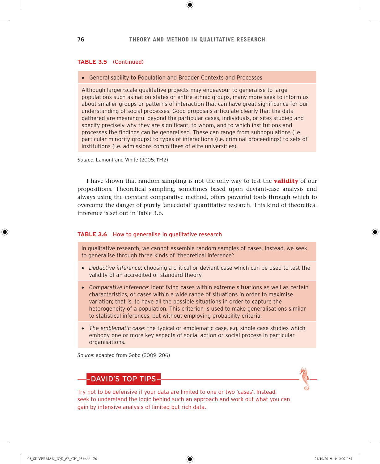#### **TABLE 3.5** (Continued)

#### • Generalisability to Population and Broader Contexts and Processes

Although larger-scale qualitative projects may endeavour to generalise to large populations such as nation states or entire ethnic groups, many more seek to inform us about smaller groups or patterns of interaction that can have great significance for our understanding of social processes. Good proposals articulate clearly that the data gathered are meaningful beyond the particular cases, individuals, or sites studied and specify precisely why they are significant, to whom, and to which institutions and processes the findings can be generalised. These can range from subpopulations (i.e. particular minority groups) to types of interactions (i.e. criminal proceedings) to sets of institutions (i.e. admissions committees of elite universities).

*Source*: Lamont and White (2005: 11–12)

I have shown that random sampling is not the only way to test the **validity** of our propositions. Theoretical sampling, sometimes based upon deviant-case analysis and always using the constant comparative method, offers powerful tools through which to overcome the danger of purely 'anecdotal' quantitative research. This kind of theoretical inference is set out in Table 3.6.

#### **TABLE 3.6** How to generalise in qualitative research

In qualitative research, we cannot assemble random samples of cases. Instead, we seek to generalise through three kinds of 'theoretical inference':

- *Deductive inference*: choosing a critical or deviant case which can be used to test the validity of an accredited or standard theory.
- *Comparative inference*: identifying cases within extreme situations as well as certain characteristics, or cases within a wide range of situations in order to maximise variation; that is, to have all the possible situations in order to capture the heterogeneity of a population. This criterion is used to make generalisations similar to statistical inferences, but without employing probability criteria.
- *The emblematic case*: the typical or emblematic case, e.g. single case studies which embody one or more key aspects of social action or social process in particular organisations.

*Source*: adapted from Gobo (2009: 206)

### DAVID'S TOP TIPS

Try not to be defensive if your data are limited to one or two 'cases'. Instead, seek to understand the logic behind such an approach and work out what you can gain by intensive analysis of limited but rich data.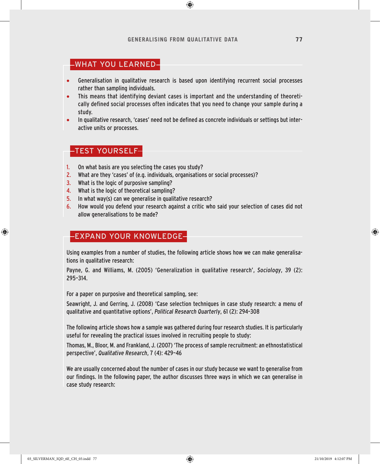### WHAT YOU LEARNED

- Generalisation in qualitative research is based upon identifying recurrent social processes rather than sampling individuals.
- This means that identifying deviant cases is important and the understanding of theoretically defined social processes often indicates that you need to change your sample during a study.
- In qualitative research, 'cases' need not be defined as concrete individuals or settings but interactive units or processes.

### TEST YOURSELF

- 1. On what basis are you selecting the cases you study?
- 2. What are they 'cases' of (e.g. individuals, organisations or social processes)?
- 3. What is the logic of purposive sampling?
- 4. What is the logic of theoretical sampling?
- 5. In what way(s) can we generalise in qualitative research?
- 6. How would you defend your research against a critic who said your selection of cases did not allow generalisations to be made?

## EXPAND YOUR KNOWLEDGE

Using examples from a number of studies, the following article shows how we can make generalisations in qualitative research:

Payne, G. and Williams, M. (2005) 'Generalization in qualitative research', *Sociology*, 39 (2): 295–314.

For a paper on purposive and theoretical sampling, see:

Seawright, J. and Gerring, J. (2008) 'Case selection techniques in case study research: a menu of qualitative and quantitative options', *Political Research Quarterly*, 61 (2): 294–308

The following article shows how a sample was gathered during four research studies. It is particularly useful for revealing the practical issues involved in recruiting people to study:

Thomas, M., Bloor, M. and Frankland, J. (2007) 'The process of sample recruitment: an ethnostatistical perspective', *Qualitative Research*, 7 (4): 429–46

We are usually concerned about the number of cases in our study because we want to generalise from our findings. In the following paper, the author discusses three ways in which we can generalise in case study research: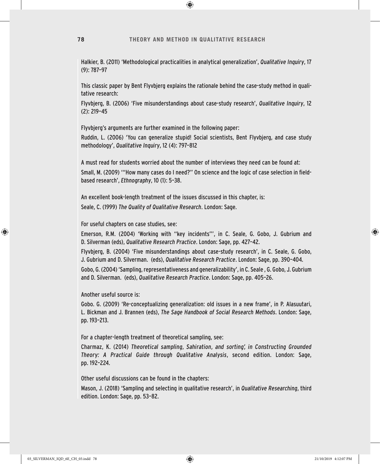Halkier, B. (2011) 'Methodological practicalities in analytical generalization', *Qualitative Inquiry*, 17 (9): 787–97

This classic paper by Bent Flyvbjerg explains the rationale behind the case-study method in qualitative research:

Flyvbjerg, B. (2006) 'Five misunderstandings about case-study research', *Qualitative Inquiry*, 12 (2): 219–45

Flyvbjerg's arguments are further examined in the following paper:

Ruddin, L. (2006) 'You can generalize stupid! Social scientists, Bent Flyvbjerg, and case study methodology', *Qualitative Inquiry*, 12 (4): 797–812

A must read for students worried about the number of interviews they need can be found at:

Small, M. (2009) '"How many cases do I need?" On science and the logic of case selection in fieldbased research', *Ethnography*, 10 (1): 5–38.

An excellent book-length treatment of the issues discussed in this chapter, is: Seale, C. (1999) *The Quality of Qualitative Research*. London: Sage.

For useful chapters on case studies, see:

Emerson, R.M. (2004) 'Working with "key incidents"', in C. Seale, G. Gobo, J. Gubrium and D. Silverman (eds), *Qualitative Research Practice.* London: Sage, pp. 427–42.

Flyvbjerg, B. (2004) 'Five misunderstandings about case-study research', in C. Seale, G. Gobo, J. Gubrium and D. Silverman. (eds), *Qualitative Research Practice.* London: Sage, pp. 390–404.

Gobo, G. (2004) 'Sampling, representativeness and generalizability', in C. Seale , G. Gobo, J. Gubrium and D. Silverman. (eds), *Qualitative Research Practice*. London: Sage, pp. 405–26.

Another useful source is:

Gobo. G. (2009) 'Re-conceptualizing generalization: old issues in a new frame', in P. Alasuutari, L. Bickman and J. Brannen (eds), *The Sage Handbook of Social Research Methods*. London: Sage, pp. 193–213.

For a chapter-length treatment of theoretical sampling, see:

Charmaz, K. (2014) *Theoretical sampling, Sahiration, and sorting', in Constructing Grounded Theory: A Practical Guide through Qualitative Analysis*, second edition. London: Sage, pp. 192–224.

Other useful discussions can be found in the chapters:

Mason, J. (2018) 'Sampling and selecting in qualitative research', in *Qualitative Researching*, third edition. London: Sage, pp. 53–82.